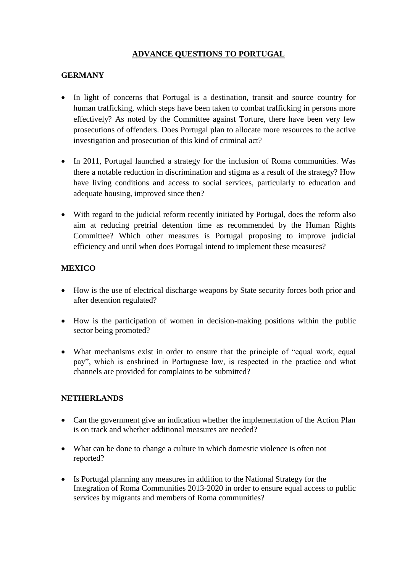### **ADVANCE QUESTIONS TO PORTUGAL**

## **GERMANY**

- In light of concerns that Portugal is a destination, transit and source country for human trafficking, which steps have been taken to combat trafficking in persons more effectively? As noted by the Committee against Torture, there have been very few prosecutions of offenders. Does Portugal plan to allocate more resources to the active investigation and prosecution of this kind of criminal act?
- In 2011, Portugal launched a strategy for the inclusion of Roma communities. Was there a notable reduction in discrimination and stigma as a result of the strategy? How have living conditions and access to social services, particularly to education and adequate housing, improved since then?
- With regard to the judicial reform recently initiated by Portugal, does the reform also aim at reducing pretrial detention time as recommended by the Human Rights Committee? Which other measures is Portugal proposing to improve judicial efficiency and until when does Portugal intend to implement these measures?

# **MEXICO**

- How is the use of electrical discharge weapons by State security forces both prior and after detention regulated?
- How is the participation of women in decision-making positions within the public sector being promoted?
- What mechanisms exist in order to ensure that the principle of "equal work, equal pay", which is enshrined in Portuguese law, is respected in the practice and what channels are provided for complaints to be submitted?

#### **NETHERLANDS**

- Can the government give an indication whether the implementation of the Action Plan is on track and whether additional measures are needed?
- What can be done to change a culture in which domestic violence is often not reported?
- Is Portugal planning any measures in addition to the National Strategy for the Integration of Roma Communities 2013-2020 in order to ensure equal access to public services by migrants and members of Roma communities?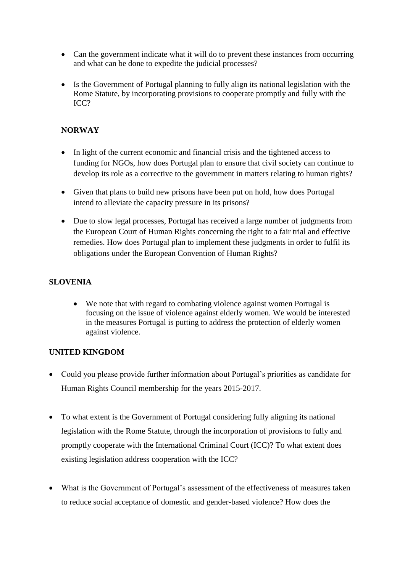- Can the government indicate what it will do to prevent these instances from occurring and what can be done to expedite the judicial processes?
- Is the Government of Portugal planning to fully align its national legislation with the Rome Statute, by incorporating provisions to cooperate promptly and fully with the ICC?

## **NORWAY**

- In light of the current economic and financial crisis and the tightened access to funding for NGOs, how does Portugal plan to ensure that civil society can continue to develop its role as a corrective to the government in matters relating to human rights?
- Given that plans to build new prisons have been put on hold, how does Portugal intend to alleviate the capacity pressure in its prisons?
- Due to slow legal processes, Portugal has received a large number of judgments from the European Court of Human Rights concerning the right to a fair trial and effective remedies. How does Portugal plan to implement these judgments in order to fulfil its obligations under the European Convention of Human Rights?

### **SLOVENIA**

 We note that with regard to combating violence against women Portugal is focusing on the issue of violence against elderly women. We would be interested in the measures Portugal is putting to address the protection of elderly women against violence.

#### **UNITED KINGDOM**

- Could you please provide further information about Portugal's priorities as candidate for Human Rights Council membership for the years 2015-2017.
- To what extent is the Government of Portugal considering fully aligning its national legislation with the Rome Statute, through the incorporation of provisions to fully and promptly cooperate with the International Criminal Court (ICC)? To what extent does existing legislation address cooperation with the ICC?
- What is the Government of Portugal's assessment of the effectiveness of measures taken to reduce social acceptance of domestic and gender-based violence? How does the